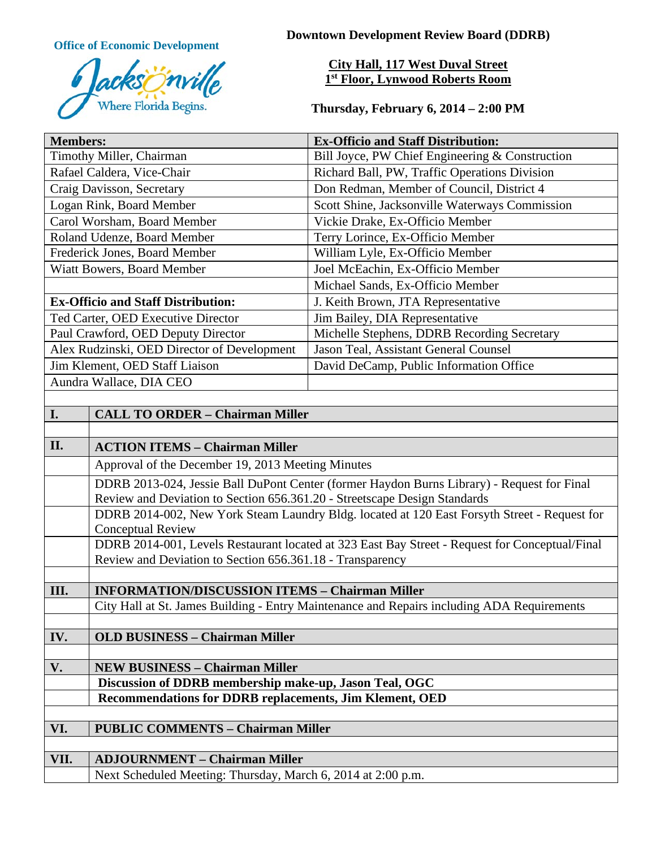

**Office of Economic Development Downtown Development Review Board (DDRB)** 

# **City Hall, 117 West Duval Street 1st Floor, Lynwood Roberts Room**

**Thursday, February 6, 2014 – 2:00 PM**

| <b>Members:</b>                                                |                                                                                                                          | <b>Ex-Officio and Staff Distribution:</b>       |  |
|----------------------------------------------------------------|--------------------------------------------------------------------------------------------------------------------------|-------------------------------------------------|--|
| Timothy Miller, Chairman                                       |                                                                                                                          | Bill Joyce, PW Chief Engineering & Construction |  |
| Rafael Caldera, Vice-Chair                                     |                                                                                                                          | Richard Ball, PW, Traffic Operations Division   |  |
| Craig Davisson, Secretary                                      |                                                                                                                          | Don Redman, Member of Council, District 4       |  |
| Logan Rink, Board Member                                       |                                                                                                                          | Scott Shine, Jacksonville Waterways Commission  |  |
| Carol Worsham, Board Member                                    |                                                                                                                          | Vickie Drake, Ex-Officio Member                 |  |
| Roland Udenze, Board Member                                    |                                                                                                                          | Terry Lorince, Ex-Officio Member                |  |
| Frederick Jones, Board Member                                  |                                                                                                                          | William Lyle, Ex-Officio Member                 |  |
| Wiatt Bowers, Board Member                                     |                                                                                                                          | Joel McEachin, Ex-Officio Member                |  |
|                                                                |                                                                                                                          | Michael Sands, Ex-Officio Member                |  |
| <b>Ex-Officio and Staff Distribution:</b>                      |                                                                                                                          | J. Keith Brown, JTA Representative              |  |
| Ted Carter, OED Executive Director                             |                                                                                                                          | Jim Bailey, DIA Representative                  |  |
| Paul Crawford, OED Deputy Director                             |                                                                                                                          | Michelle Stephens, DDRB Recording Secretary     |  |
| Alex Rudzinski, OED Director of Development                    |                                                                                                                          | Jason Teal, Assistant General Counsel           |  |
| Jim Klement, OED Staff Liaison                                 |                                                                                                                          | David DeCamp, Public Information Office         |  |
| Aundra Wallace, DIA CEO                                        |                                                                                                                          |                                                 |  |
|                                                                |                                                                                                                          |                                                 |  |
| I.                                                             | <b>CALL TO ORDER - Chairman Miller</b>                                                                                   |                                                 |  |
|                                                                |                                                                                                                          |                                                 |  |
| II.                                                            | <b>ACTION ITEMS - Chairman Miller</b>                                                                                    |                                                 |  |
|                                                                | Approval of the December 19, 2013 Meeting Minutes                                                                        |                                                 |  |
|                                                                | DDRB 2013-024, Jessie Ball DuPont Center (former Haydon Burns Library) - Request for Final                               |                                                 |  |
|                                                                | Review and Deviation to Section 656.361.20 - Streetscape Design Standards                                                |                                                 |  |
|                                                                | DDRB 2014-002, New York Steam Laundry Bldg. located at 120 East Forsyth Street - Request for<br><b>Conceptual Review</b> |                                                 |  |
|                                                                | DDRB 2014-001, Levels Restaurant located at 323 East Bay Street - Request for Conceptual/Final                           |                                                 |  |
|                                                                | Review and Deviation to Section 656.361.18 - Transparency                                                                |                                                 |  |
|                                                                |                                                                                                                          |                                                 |  |
| III.                                                           | <b>INFORMATION/DISCUSSION ITEMS - Chairman Miller</b>                                                                    |                                                 |  |
|                                                                | City Hall at St. James Building - Entry Maintenance and Repairs including ADA Requirements                               |                                                 |  |
|                                                                |                                                                                                                          |                                                 |  |
| IV.                                                            | <b>OLD BUSINESS - Chairman Miller</b>                                                                                    |                                                 |  |
|                                                                |                                                                                                                          |                                                 |  |
| V.                                                             | <b>NEW BUSINESS - Chairman Miller</b>                                                                                    |                                                 |  |
|                                                                | Discussion of DDRB membership make-up, Jason Teal, OGC                                                                   |                                                 |  |
| <b>Recommendations for DDRB replacements, Jim Klement, OED</b> |                                                                                                                          |                                                 |  |
|                                                                |                                                                                                                          |                                                 |  |
| <b>PUBLIC COMMENTS - Chairman Miller</b><br>VI.                |                                                                                                                          |                                                 |  |
|                                                                |                                                                                                                          |                                                 |  |
| VII.                                                           | <b>ADJOURNMENT - Chairman Miller</b>                                                                                     |                                                 |  |
|                                                                | Next Scheduled Meeting: Thursday, March 6, 2014 at 2:00 p.m.                                                             |                                                 |  |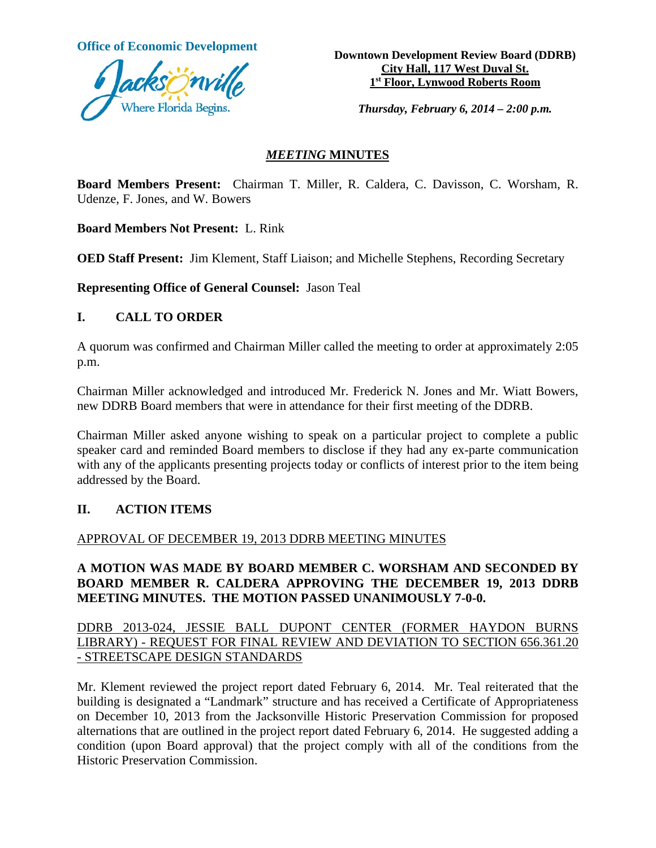

**Office of Economic Development**<br> **Downtown Development Review Board (DDRB) City Hall, 117 West Duval St. 1st Floor, Lynwood Roberts Room**

*Thursday, February 6, 2014 – 2:00 p.m.*

### *MEETING* **MINUTES**

**Board Members Present:** Chairman T. Miller, R. Caldera, C. Davisson, C. Worsham, R. Udenze, F. Jones, and W. Bowers

**Board Members Not Present:** L. Rink

**OED Staff Present:** Jim Klement, Staff Liaison; and Michelle Stephens, Recording Secretary

**Representing Office of General Counsel:** Jason Teal

# **I. CALL TO ORDER**

A quorum was confirmed and Chairman Miller called the meeting to order at approximately 2:05 p.m.

Chairman Miller acknowledged and introduced Mr. Frederick N. Jones and Mr. Wiatt Bowers, new DDRB Board members that were in attendance for their first meeting of the DDRB.

Chairman Miller asked anyone wishing to speak on a particular project to complete a public speaker card and reminded Board members to disclose if they had any ex-parte communication with any of the applicants presenting projects today or conflicts of interest prior to the item being addressed by the Board.

# **II. ACTION ITEMS**

# APPROVAL OF DECEMBER 19, 2013 DDRB MEETING MINUTES

## **A MOTION WAS MADE BY BOARD MEMBER C. WORSHAM AND SECONDED BY BOARD MEMBER R. CALDERA APPROVING THE DECEMBER 19, 2013 DDRB MEETING MINUTES. THE MOTION PASSED UNANIMOUSLY 7-0-0.**

# DDRB 2013-024, JESSIE BALL DUPONT CENTER (FORMER HAYDON BURNS LIBRARY) - REQUEST FOR FINAL REVIEW AND DEVIATION TO SECTION 656.361.20 - STREETSCAPE DESIGN STANDARDS

Mr. Klement reviewed the project report dated February 6, 2014. Mr. Teal reiterated that the building is designated a "Landmark" structure and has received a Certificate of Appropriateness on December 10, 2013 from the Jacksonville Historic Preservation Commission for proposed alternations that are outlined in the project report dated February 6, 2014. He suggested adding a condition (upon Board approval) that the project comply with all of the conditions from the Historic Preservation Commission.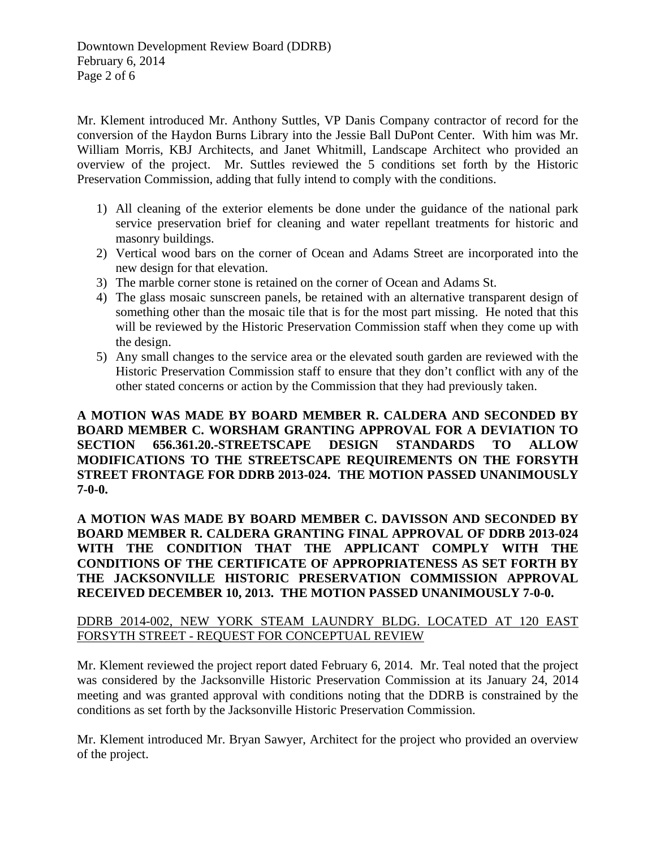Mr. Klement introduced Mr. Anthony Suttles, VP Danis Company contractor of record for the conversion of the Haydon Burns Library into the Jessie Ball DuPont Center. With him was Mr. William Morris, KBJ Architects, and Janet Whitmill, Landscape Architect who provided an overview of the project. Mr. Suttles reviewed the 5 conditions set forth by the Historic Preservation Commission, adding that fully intend to comply with the conditions.

- 1) All cleaning of the exterior elements be done under the guidance of the national park service preservation brief for cleaning and water repellant treatments for historic and masonry buildings.
- 2) Vertical wood bars on the corner of Ocean and Adams Street are incorporated into the new design for that elevation.
- 3) The marble corner stone is retained on the corner of Ocean and Adams St.
- 4) The glass mosaic sunscreen panels, be retained with an alternative transparent design of something other than the mosaic tile that is for the most part missing. He noted that this will be reviewed by the Historic Preservation Commission staff when they come up with the design.
- 5) Any small changes to the service area or the elevated south garden are reviewed with the Historic Preservation Commission staff to ensure that they don't conflict with any of the other stated concerns or action by the Commission that they had previously taken.

**A MOTION WAS MADE BY BOARD MEMBER R. CALDERA AND SECONDED BY BOARD MEMBER C. WORSHAM GRANTING APPROVAL FOR A DEVIATION TO SECTION 656.361.20.-STREETSCAPE DESIGN STANDARDS TO ALLOW MODIFICATIONS TO THE STREETSCAPE REQUIREMENTS ON THE FORSYTH STREET FRONTAGE FOR DDRB 2013-024. THE MOTION PASSED UNANIMOUSLY 7-0-0.**

**A MOTION WAS MADE BY BOARD MEMBER C. DAVISSON AND SECONDED BY BOARD MEMBER R. CALDERA GRANTING FINAL APPROVAL OF DDRB 2013-024 WITH THE CONDITION THAT THE APPLICANT COMPLY WITH THE CONDITIONS OF THE CERTIFICATE OF APPROPRIATENESS AS SET FORTH BY THE JACKSONVILLE HISTORIC PRESERVATION COMMISSION APPROVAL RECEIVED DECEMBER 10, 2013. THE MOTION PASSED UNANIMOUSLY 7-0-0.**

## DDRB 2014-002, NEW YORK STEAM LAUNDRY BLDG. LOCATED AT 120 EAST FORSYTH STREET - REQUEST FOR CONCEPTUAL REVIEW

Mr. Klement reviewed the project report dated February 6, 2014. Mr. Teal noted that the project was considered by the Jacksonville Historic Preservation Commission at its January 24, 2014 meeting and was granted approval with conditions noting that the DDRB is constrained by the conditions as set forth by the Jacksonville Historic Preservation Commission.

Mr. Klement introduced Mr. Bryan Sawyer, Architect for the project who provided an overview of the project.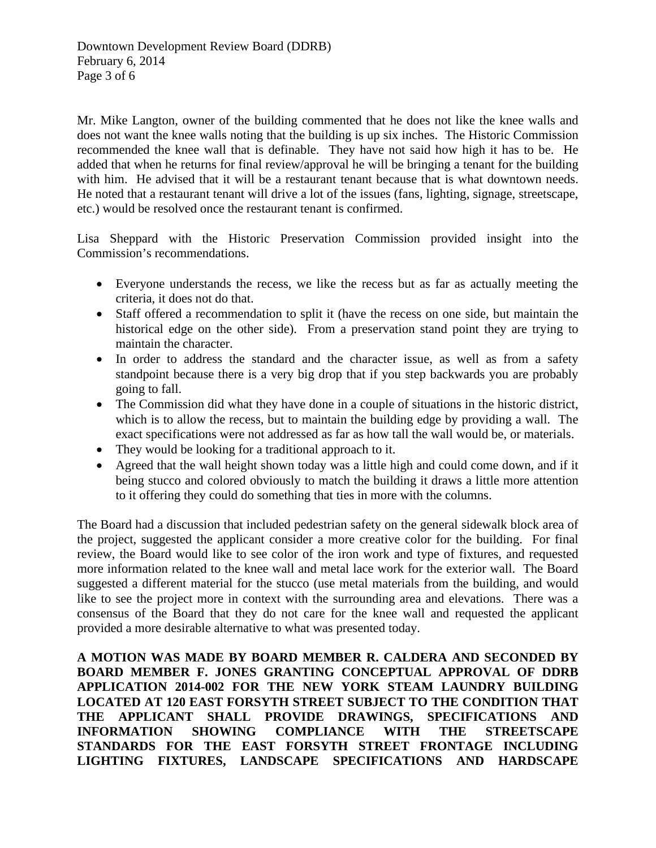Mr. Mike Langton, owner of the building commented that he does not like the knee walls and does not want the knee walls noting that the building is up six inches. The Historic Commission recommended the knee wall that is definable. They have not said how high it has to be. He added that when he returns for final review/approval he will be bringing a tenant for the building with him. He advised that it will be a restaurant tenant because that is what downtown needs. He noted that a restaurant tenant will drive a lot of the issues (fans, lighting, signage, streetscape, etc.) would be resolved once the restaurant tenant is confirmed.

Lisa Sheppard with the Historic Preservation Commission provided insight into the Commission's recommendations.

- Everyone understands the recess, we like the recess but as far as actually meeting the criteria, it does not do that.
- Staff offered a recommendation to split it (have the recess on one side, but maintain the historical edge on the other side). From a preservation stand point they are trying to maintain the character.
- In order to address the standard and the character issue, as well as from a safety standpoint because there is a very big drop that if you step backwards you are probably going to fall.
- The Commission did what they have done in a couple of situations in the historic district, which is to allow the recess, but to maintain the building edge by providing a wall. The exact specifications were not addressed as far as how tall the wall would be, or materials.
- They would be looking for a traditional approach to it.
- Agreed that the wall height shown today was a little high and could come down, and if it being stucco and colored obviously to match the building it draws a little more attention to it offering they could do something that ties in more with the columns.

The Board had a discussion that included pedestrian safety on the general sidewalk block area of the project, suggested the applicant consider a more creative color for the building. For final review, the Board would like to see color of the iron work and type of fixtures, and requested more information related to the knee wall and metal lace work for the exterior wall. The Board suggested a different material for the stucco (use metal materials from the building, and would like to see the project more in context with the surrounding area and elevations. There was a consensus of the Board that they do not care for the knee wall and requested the applicant provided a more desirable alternative to what was presented today.

**A MOTION WAS MADE BY BOARD MEMBER R. CALDERA AND SECONDED BY BOARD MEMBER F. JONES GRANTING CONCEPTUAL APPROVAL OF DDRB APPLICATION 2014-002 FOR THE NEW YORK STEAM LAUNDRY BUILDING LOCATED AT 120 EAST FORSYTH STREET SUBJECT TO THE CONDITION THAT THE APPLICANT SHALL PROVIDE DRAWINGS, SPECIFICATIONS AND INFORMATION SHOWING COMPLIANCE WITH THE STREETSCAPE STANDARDS FOR THE EAST FORSYTH STREET FRONTAGE INCLUDING LIGHTING FIXTURES, LANDSCAPE SPECIFICATIONS AND HARDSCAPE**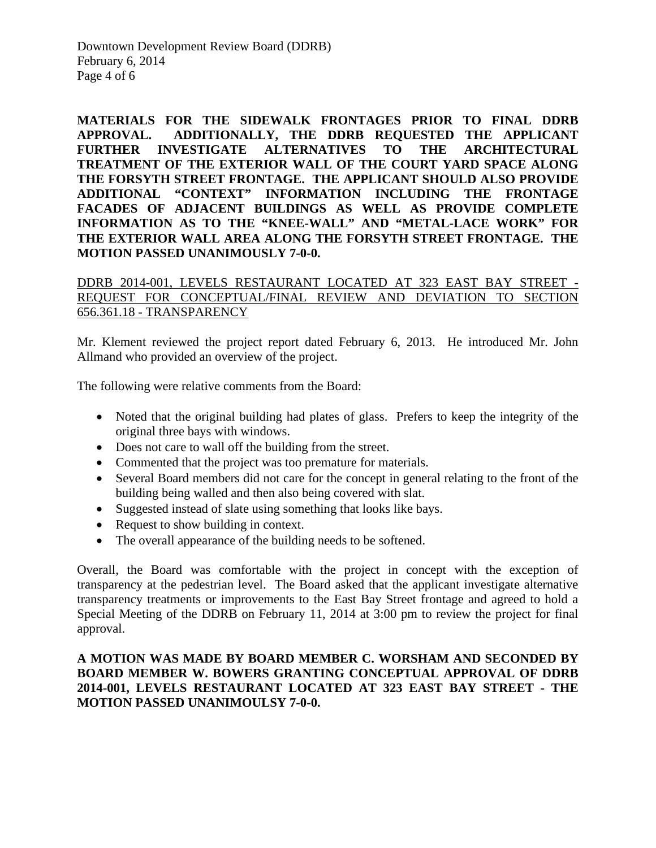**MATERIALS FOR THE SIDEWALK FRONTAGES PRIOR TO FINAL DDRB APPROVAL. ADDITIONALLY, THE DDRB REQUESTED THE APPLICANT FURTHER INVESTIGATE ALTERNATIVES TO THE ARCHITECTURAL TREATMENT OF THE EXTERIOR WALL OF THE COURT YARD SPACE ALONG THE FORSYTH STREET FRONTAGE. THE APPLICANT SHOULD ALSO PROVIDE ADDITIONAL "CONTEXT" INFORMATION INCLUDING THE FRONTAGE FACADES OF ADJACENT BUILDINGS AS WELL AS PROVIDE COMPLETE INFORMATION AS TO THE "KNEE-WALL" AND "METAL-LACE WORK" FOR THE EXTERIOR WALL AREA ALONG THE FORSYTH STREET FRONTAGE. THE MOTION PASSED UNANIMOUSLY 7-0-0.**

DDRB 2014-001, LEVELS RESTAURANT LOCATED AT 323 EAST BAY STREET - REQUEST FOR CONCEPTUAL/FINAL REVIEW AND DEVIATION TO SECTION 656.361.18 - TRANSPARENCY

Mr. Klement reviewed the project report dated February 6, 2013. He introduced Mr. John Allmand who provided an overview of the project.

The following were relative comments from the Board:

- Noted that the original building had plates of glass. Prefers to keep the integrity of the original three bays with windows.
- Does not care to wall off the building from the street.
- Commented that the project was too premature for materials.
- Several Board members did not care for the concept in general relating to the front of the building being walled and then also being covered with slat.
- Suggested instead of slate using something that looks like bays.
- Request to show building in context.
- The overall appearance of the building needs to be softened.

Overall, the Board was comfortable with the project in concept with the exception of transparency at the pedestrian level. The Board asked that the applicant investigate alternative transparency treatments or improvements to the East Bay Street frontage and agreed to hold a Special Meeting of the DDRB on February 11, 2014 at 3:00 pm to review the project for final approval.

**A MOTION WAS MADE BY BOARD MEMBER C. WORSHAM AND SECONDED BY BOARD MEMBER W. BOWERS GRANTING CONCEPTUAL APPROVAL OF DDRB 2014-001, LEVELS RESTAURANT LOCATED AT 323 EAST BAY STREET - THE MOTION PASSED UNANIMOULSY 7-0-0.**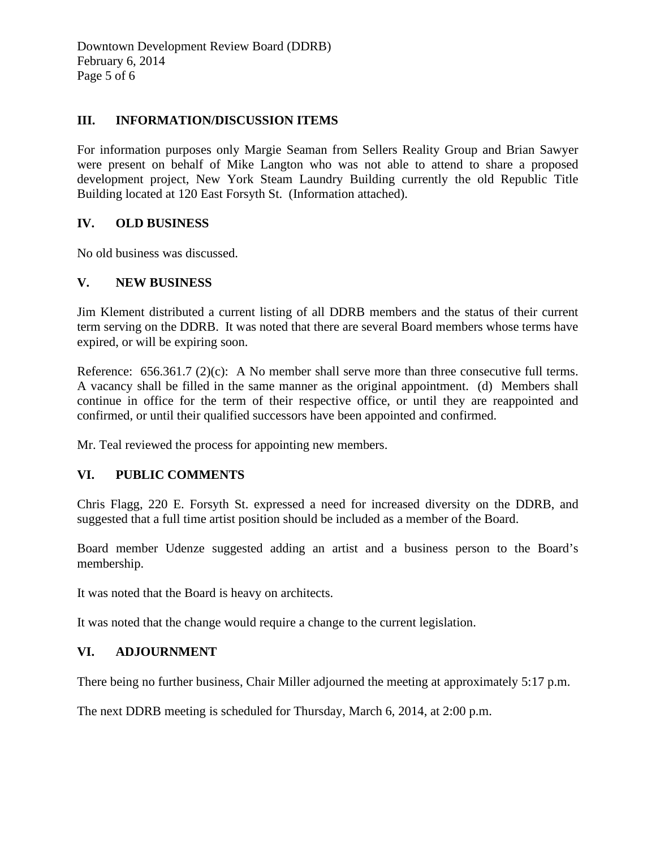Downtown Development Review Board (DDRB) February 6, 2014 Page 5 of 6

## **III. INFORMATION/DISCUSSION ITEMS**

For information purposes only Margie Seaman from Sellers Reality Group and Brian Sawyer were present on behalf of Mike Langton who was not able to attend to share a proposed development project, New York Steam Laundry Building currently the old Republic Title Building located at 120 East Forsyth St. (Information attached).

### **IV. OLD BUSINESS**

No old business was discussed.

#### **V. NEW BUSINESS**

Jim Klement distributed a current listing of all DDRB members and the status of their current term serving on the DDRB. It was noted that there are several Board members whose terms have expired, or will be expiring soon.

Reference: 656.361.7 (2)(c): A No member shall serve more than three consecutive full terms. A vacancy shall be filled in the same manner as the original appointment. (d) Members shall continue in office for the term of their respective office, or until they are reappointed and confirmed, or until their qualified successors have been appointed and confirmed.

Mr. Teal reviewed the process for appointing new members.

# **VI. PUBLIC COMMENTS**

Chris Flagg, 220 E. Forsyth St. expressed a need for increased diversity on the DDRB, and suggested that a full time artist position should be included as a member of the Board.

Board member Udenze suggested adding an artist and a business person to the Board's membership.

It was noted that the Board is heavy on architects.

It was noted that the change would require a change to the current legislation.

#### **VI. ADJOURNMENT**

There being no further business, Chair Miller adjourned the meeting at approximately 5:17 p.m.

The next DDRB meeting is scheduled for Thursday, March 6, 2014, at 2:00 p.m.